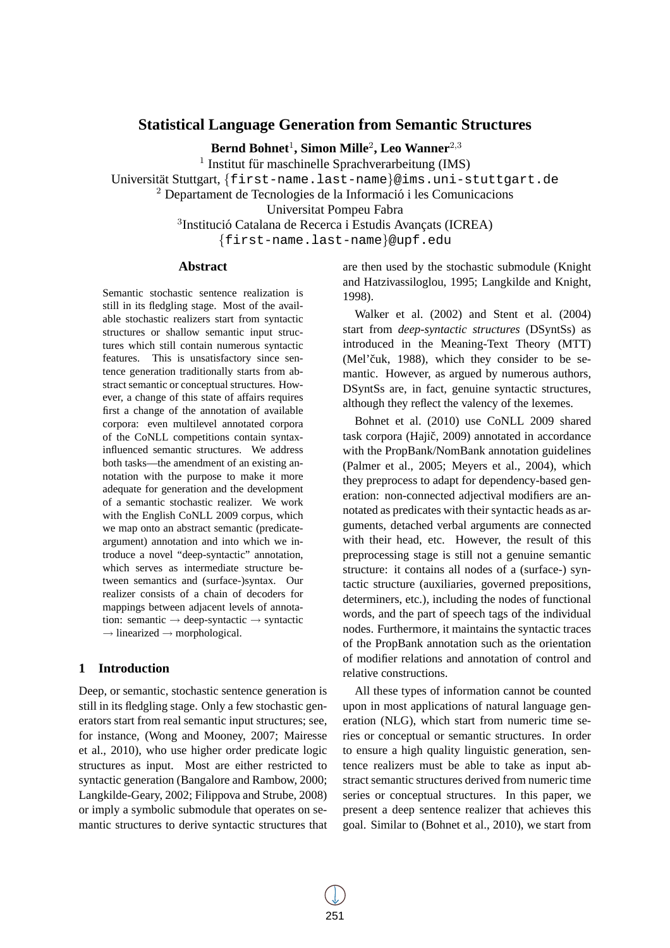# **Statistical Language Generation from Semantic Structures**

**Bernd Bohnet**<sup>1</sup> **, Simon Mille**<sup>2</sup> **, Leo Wanner**<sup>2</sup>,<sup>3</sup>

<sup>1</sup> Institut für maschinelle Sprachverarbeitung (IMS)

Universität Stuttgart, {first-name.last-name}@ims.uni-stuttgart.de

 $2$  Departament de Tecnologies de la Informació i les Comunicacions

Universitat Pompeu Fabra

<sup>3</sup>Institució Catalana de Recerca i Estudis Avançats (ICREA)

{first-name.last-name}@upf.edu

## **Abstract**

Semantic stochastic sentence realization is still in its fledgling stage. Most of the available stochastic realizers start from syntactic structures or shallow semantic input structures which still contain numerous syntactic features. This is unsatisfactory since sentence generation traditionally starts from abstract semantic or conceptual structures. However, a change of this state of affairs requires first a change of the annotation of available corpora: even multilevel annotated corpora of the CoNLL competitions contain syntaxinfluenced semantic structures. We address both tasks—the amendment of an existing annotation with the purpose to make it more adequate for generation and the development of a semantic stochastic realizer. We work with the English CoNLL 2009 corpus, which we map onto an abstract semantic (predicateargument) annotation and into which we introduce a novel "deep-syntactic" annotation, which serves as intermediate structure between semantics and (surface-)syntax. Our realizer consists of a chain of decoders for mappings between adjacent levels of annotation: semantic  $\rightarrow$  deep-syntactic  $\rightarrow$  syntactic  $\rightarrow$  linearized  $\rightarrow$  morphological.

### **1 Introduction**

Deep, or semantic, stochastic sentence generation is still in its fledgling stage. Only a few stochastic generators start from real semantic input structures; see, for instance, (Wong and Mooney, 2007; Mairesse et al., 2010), who use higher order predicate logic structures as input. Most are either restricted to syntactic generation (Bangalore and Rambow, 2000; Langkilde-Geary, 2002; Filippova and Strube, 2008) or imply a symbolic submodule that operates on semantic structures to derive syntactic structures that are then used by the stochastic submodule (Knight and Hatzivassiloglou, 1995; Langkilde and Knight, 1998).

Walker et al. (2002) and Stent et al. (2004) start from *deep-syntactic structures* (DSyntSs) as introduced in the Meaning-Text Theory (MTT) (Mel'čuk, 1988), which they consider to be semantic. However, as argued by numerous authors, DSyntSs are, in fact, genuine syntactic structures, although they reflect the valency of the lexemes.

Bohnet et al. (2010) use CoNLL 2009 shared task corpora (Hajič, 2009) annotated in accordance with the PropBank/NomBank annotation guidelines (Palmer et al., 2005; Meyers et al., 2004), which they preprocess to adapt for dependency-based generation: non-connected adjectival modifiers are annotated as predicates with their syntactic heads as arguments, detached verbal arguments are connected with their head, etc. However, the result of this preprocessing stage is still not a genuine semantic structure: it contains all nodes of a (surface-) syntactic structure (auxiliaries, governed prepositions, determiners, etc.), including the nodes of functional words, and the part of speech tags of the individual nodes. Furthermore, it maintains the syntactic traces of the PropBank annotation such as the orientation of modifier relations and annotation of control and relative constructions.

All these types of information cannot be counted upon in most applications of natural language generation (NLG), which start from numeric time series or conceptual or semantic structures. In order to ensure a high quality linguistic generation, sentence realizers must be able to take as input abstract semantic structures derived from numeric time series or conceptual structures. In this paper, we present a deep sentence realizer that achieves this goal. Similar to (Bohnet et al., 2010), we start from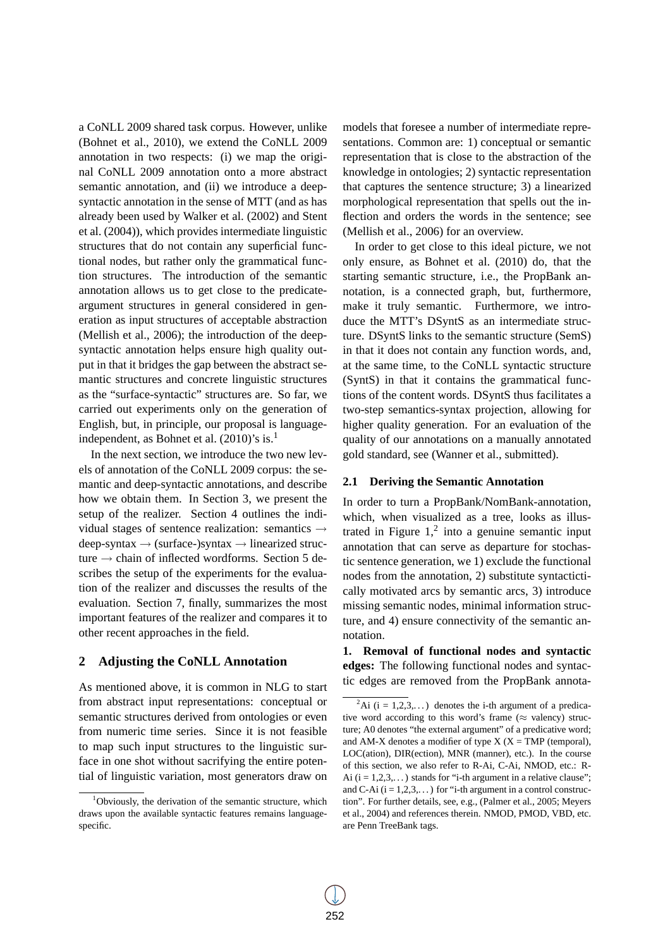a CoNLL 2009 shared task corpus. However, unlike (Bohnet et al., 2010), we extend the CoNLL 2009 annotation in two respects: (i) we map the original CoNLL 2009 annotation onto a more abstract semantic annotation, and (ii) we introduce a deepsyntactic annotation in the sense of MTT (and as has already been used by Walker et al. (2002) and Stent et al. (2004)), which provides intermediate linguistic structures that do not contain any superficial functional nodes, but rather only the grammatical function structures. The introduction of the semantic annotation allows us to get close to the predicateargument structures in general considered in generation as input structures of acceptable abstraction (Mellish et al., 2006); the introduction of the deepsyntactic annotation helps ensure high quality output in that it bridges the gap between the abstract semantic structures and concrete linguistic structures as the "surface-syntactic" structures are. So far, we carried out experiments only on the generation of English, but, in principle, our proposal is languageindependent, as Bohnet et al. (2010)'s is.<sup>1</sup>

In the next section, we introduce the two new levels of annotation of the CoNLL 2009 corpus: the semantic and deep-syntactic annotations, and describe how we obtain them. In Section 3, we present the setup of the realizer. Section 4 outlines the individual stages of sentence realization: semantics → deep-syntax  $\rightarrow$  (surface-)syntax  $\rightarrow$  linearized structure  $\rightarrow$  chain of inflected wordforms. Section 5 describes the setup of the experiments for the evaluation of the realizer and discusses the results of the evaluation. Section 7, finally, summarizes the most important features of the realizer and compares it to other recent approaches in the field.

### **2 Adjusting the CoNLL Annotation**

As mentioned above, it is common in NLG to start from abstract input representations: conceptual or semantic structures derived from ontologies or even from numeric time series. Since it is not feasible to map such input structures to the linguistic surface in one shot without sacrifying the entire potential of linguistic variation, most generators draw on

models that foresee a number of intermediate representations. Common are: 1) conceptual or semantic representation that is close to the abstraction of the knowledge in ontologies; 2) syntactic representation that captures the sentence structure; 3) a linearized morphological representation that spells out the inflection and orders the words in the sentence; see (Mellish et al., 2006) for an overview.

In order to get close to this ideal picture, we not only ensure, as Bohnet et al. (2010) do, that the starting semantic structure, i.e., the PropBank annotation, is a connected graph, but, furthermore, make it truly semantic. Furthermore, we introduce the MTT's DSyntS as an intermediate structure. DSyntS links to the semantic structure (SemS) in that it does not contain any function words, and, at the same time, to the CoNLL syntactic structure (SyntS) in that it contains the grammatical functions of the content words. DSyntS thus facilitates a two-step semantics-syntax projection, allowing for higher quality generation. For an evaluation of the quality of our annotations on a manually annotated gold standard, see (Wanner et al., submitted).

#### **2.1 Deriving the Semantic Annotation**

In order to turn a PropBank/NomBank-annotation, which, when visualized as a tree, looks as illustrated in Figure  $1<sup>2</sup>$  into a genuine semantic input annotation that can serve as departure for stochastic sentence generation, we 1) exclude the functional nodes from the annotation, 2) substitute syntactictically motivated arcs by semantic arcs, 3) introduce missing semantic nodes, minimal information structure, and 4) ensure connectivity of the semantic annotation.

**1. Removal of functional nodes and syntactic edges:** The following functional nodes and syntactic edges are removed from the PropBank annota-

<sup>&</sup>lt;sup>1</sup>Obviously, the derivation of the semantic structure, which draws upon the available syntactic features remains languagespecific.

<sup>&</sup>lt;sup>2</sup>Ai (i = 1,2,3,...) denotes the i-th argument of a predicative word according to this word's frame ( $\approx$  valency) structure; A0 denotes "the external argument" of a predicative word; and AM-X denotes a modifier of type  $X$  ( $X = TMP$  (temporal), LOC(ation), DIR(ection), MNR (manner), etc.). In the course of this section, we also refer to R-Ai, C-Ai, NMOD, etc.: R-Ai  $(i = 1, 2, 3, ...)$  stands for "i-th argument in a relative clause"; and C-Ai  $(i = 1, 2, 3, ...)$  for "i-th argument in a control construction". For further details, see, e.g., (Palmer et al., 2005; Meyers et al., 2004) and references therein. NMOD, PMOD, VBD, etc. are Penn TreeBank tags.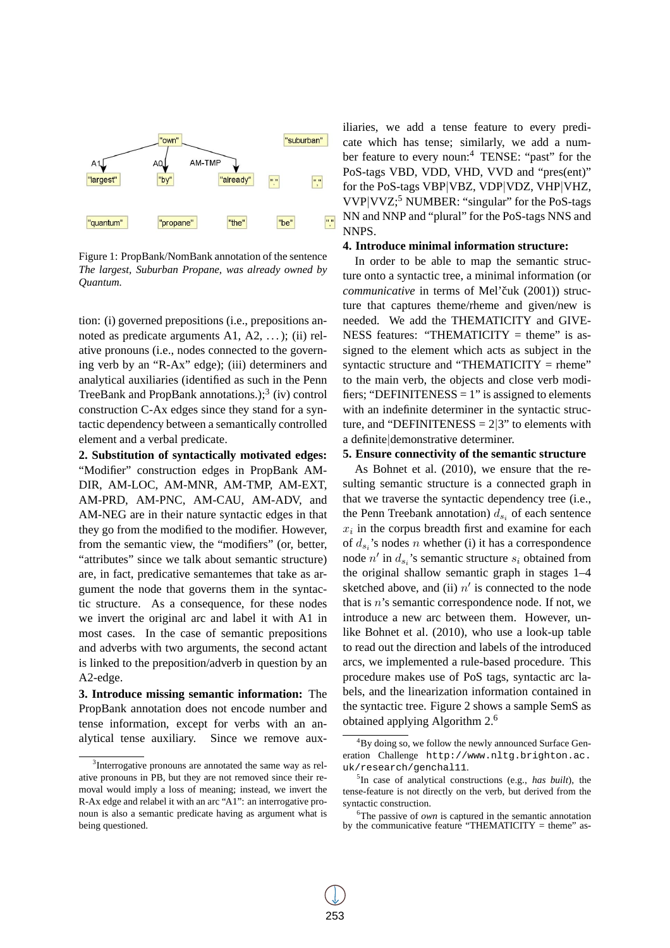

Figure 1: PropBank/NomBank annotation of the sentence *The largest, Suburban Propane, was already owned by Quantum.*

tion: (i) governed prepositions (i.e., prepositions annoted as predicate arguments  $A1, A2, \ldots$ ; (ii) relative pronouns (i.e., nodes connected to the governing verb by an "R-Ax" edge); (iii) determiners and analytical auxiliaries (identified as such in the Penn TreeBank and PropBank annotations.); $3$  (iv) control construction C-Ax edges since they stand for a syntactic dependency between a semantically controlled element and a verbal predicate.

**2. Substitution of syntactically motivated edges:** "Modifier" construction edges in PropBank AM-DIR, AM-LOC, AM-MNR, AM-TMP, AM-EXT, AM-PRD, AM-PNC, AM-CAU, AM-ADV, and AM-NEG are in their nature syntactic edges in that they go from the modified to the modifier. However, from the semantic view, the "modifiers" (or, better, "attributes" since we talk about semantic structure) are, in fact, predicative semantemes that take as argument the node that governs them in the syntactic structure. As a consequence, for these nodes we invert the original arc and label it with A1 in most cases. In the case of semantic prepositions and adverbs with two arguments, the second actant is linked to the preposition/adverb in question by an A2-edge.

**3. Introduce missing semantic information:** The PropBank annotation does not encode number and tense information, except for verbs with an analytical tense auxiliary. Since we remove auxiliaries, we add a tense feature to every predicate which has tense; similarly, we add a number feature to every noun:<sup>4</sup> TENSE: "past" for the PoS-tags VBD, VDD, VHD, VVD and "pres(ent)" for the PoS-tags VBP|VBZ, VDP|VDZ, VHP|VHZ, VVP|VVZ;<sup>5</sup> NUMBER: "singular" for the PoS-tags NN and NNP and "plural" for the PoS-tags NNS and NNPS.

#### **4. Introduce minimal information structure:**

In order to be able to map the semantic structure onto a syntactic tree, a minimal information (or *communicative* in terms of Mel'čuk (2001)) structure that captures theme/rheme and given/new is needed. We add the THEMATICITY and GIVE-NESS features: "THEMATICITY = theme" is assigned to the element which acts as subject in the syntactic structure and "THEMATICITY = rheme" to the main verb, the objects and close verb modifiers; "DEFINITENESS  $= 1$ " is assigned to elements with an indefinite determiner in the syntactic structure, and "DEFINITENESS  $= 2/3$ " to elements with a definite|demonstrative determiner.

#### **5. Ensure connectivity of the semantic structure**

As Bohnet et al. (2010), we ensure that the resulting semantic structure is a connected graph in that we traverse the syntactic dependency tree (i.e., the Penn Treebank annotation)  $d_{s_i}$  of each sentence  $x_i$  in the corpus breadth first and examine for each of  $d_{s_i}$ 's nodes *n* whether (i) it has a correspondence node  $n'$  in  $d_{s_i}$ 's semantic structure  $s_i$  obtained from the original shallow semantic graph in stages 1–4 sketched above, and (ii)  $n'$  is connected to the node that is  $n$ 's semantic correspondence node. If not, we introduce a new arc between them. However, unlike Bohnet et al. (2010), who use a look-up table to read out the direction and labels of the introduced arcs, we implemented a rule-based procedure. This procedure makes use of PoS tags, syntactic arc labels, and the linearization information contained in the syntactic tree. Figure 2 shows a sample SemS as obtained applying Algorithm 2.<sup>6</sup>

<sup>&</sup>lt;sup>3</sup>Interrogative pronouns are annotated the same way as relative pronouns in PB, but they are not removed since their removal would imply a loss of meaning; instead, we invert the R-Ax edge and relabel it with an arc "A1": an interrogative pronoun is also a semantic predicate having as argument what is being questioned.

<sup>&</sup>lt;sup>4</sup>By doing so, we follow the newly announced Surface Generation Challenge http://www.nltg.brighton.ac. uk/research/genchal11.

<sup>5</sup> In case of analytical constructions (e.g., *has built*), the tense-feature is not directly on the verb, but derived from the syntactic construction.

<sup>6</sup>The passive of *own* is captured in the semantic annotation by the communicative feature "THEMATICITY = theme" as-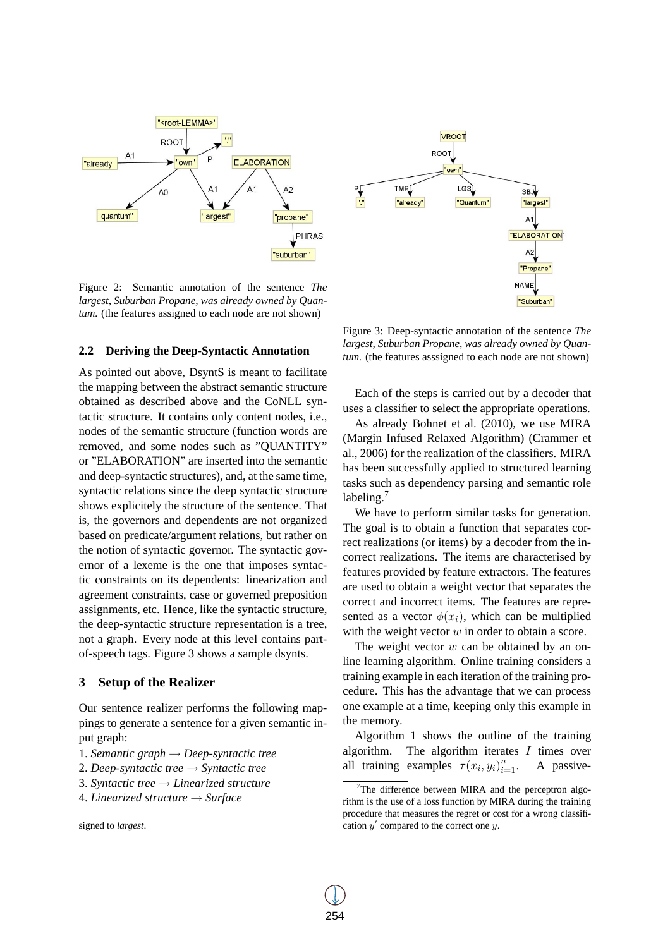

Figure 2: Semantic annotation of the sentence *The largest, Suburban Propane, was already owned by Quantum.* (the features assigned to each node are not shown)

#### **2.2 Deriving the Deep-Syntactic Annotation**

As pointed out above, DsyntS is meant to facilitate the mapping between the abstract semantic structure obtained as described above and the CoNLL syntactic structure. It contains only content nodes, i.e., nodes of the semantic structure (function words are removed, and some nodes such as "QUANTITY" or "ELABORATION" are inserted into the semantic and deep-syntactic structures), and, at the same time, syntactic relations since the deep syntactic structure shows explicitely the structure of the sentence. That is, the governors and dependents are not organized based on predicate/argument relations, but rather on the notion of syntactic governor. The syntactic governor of a lexeme is the one that imposes syntactic constraints on its dependents: linearization and agreement constraints, case or governed preposition assignments, etc. Hence, like the syntactic structure, the deep-syntactic structure representation is a tree, not a graph. Every node at this level contains partof-speech tags. Figure 3 shows a sample dsynts.

#### **3 Setup of the Realizer**

Our sentence realizer performs the following mappings to generate a sentence for a given semantic input graph:

- 1. *Semantic graph* → *Deep-syntactic tree*
- 2. *Deep-syntactic tree* → *Syntactic tree*
- 3. *Syntactic tree* → *Linearized structure*
- 4. *Linearized structure* → *Surface*



Figure 3: Deep-syntactic annotation of the sentence *The largest, Suburban Propane, was already owned by Quantum.* (the features asssigned to each node are not shown)

Each of the steps is carried out by a decoder that uses a classifier to select the appropriate operations.

As already Bohnet et al. (2010), we use MIRA (Margin Infused Relaxed Algorithm) (Crammer et al., 2006) for the realization of the classifiers. MIRA has been successfully applied to structured learning tasks such as dependency parsing and semantic role labeling.<sup>7</sup>

We have to perform similar tasks for generation. The goal is to obtain a function that separates correct realizations (or items) by a decoder from the incorrect realizations. The items are characterised by features provided by feature extractors. The features are used to obtain a weight vector that separates the correct and incorrect items. The features are represented as a vector  $\phi(x_i)$ , which can be multiplied with the weight vector  $w$  in order to obtain a score.

The weight vector  $w$  can be obtained by an online learning algorithm. Online training considers a training example in each iteration of the training procedure. This has the advantage that we can process one example at a time, keeping only this example in the memory.

Algorithm 1 shows the outline of the training algorithm. The algorithm iterates  $I$  times over all training examples  $\tau(x_i, y_i)_{i=1}^n$ A passive-

signed to *largest*.

 $7$ The difference between MIRA and the perceptron algorithm is the use of a loss function by MIRA during the training procedure that measures the regret or cost for a wrong classification  $y'$  compared to the correct one  $y$ .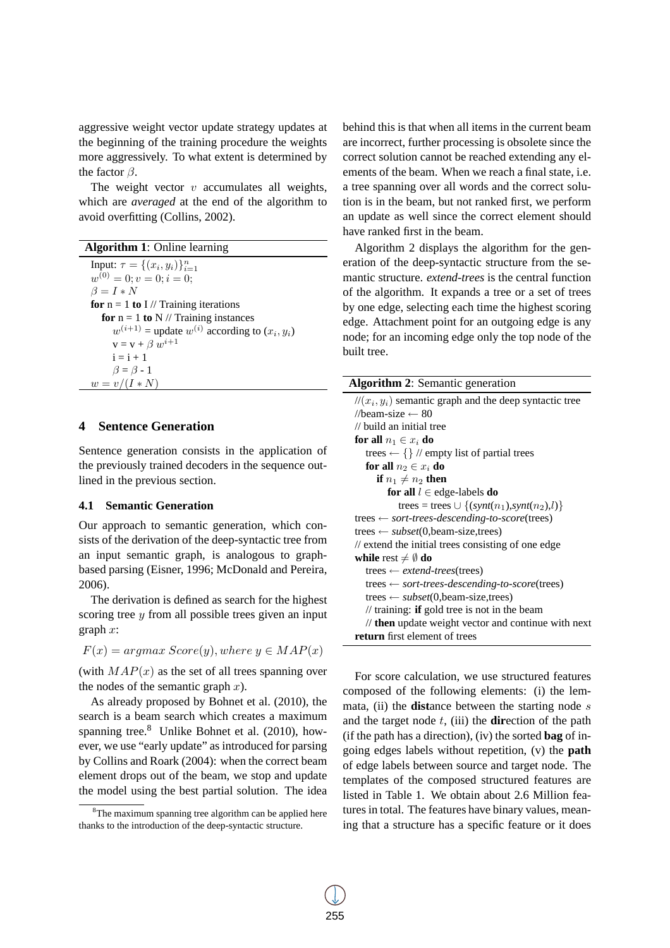aggressive weight vector update strategy updates at the beginning of the training procedure the weights more aggressively. To what extent is determined by the factor  $\beta$ .

The weight vector  $v$  accumulates all weights, which are *averaged* at the end of the algorithm to avoid overfitting (Collins, 2002).

| <b>Algorithm 1: Online learning</b> |  |  |
|-------------------------------------|--|--|
|                                     |  |  |

Input:  $\tau = \{(x_i, y_i)\}_{i=1}^n$  $w^{(0)} = 0; v = 0; i = 0;$  $\beta = I * N$ **for**  $n = 1$  **to** I // Training iterations **for**  $n = 1$  **to** N  $\text{/}$  Training instances  $w^{(i+1)}$  = update  $w^{(i)}$  according to  $(x_i, y_i)$  $v = v + \beta \dot{w}^{i+1}$  $i = i + 1$  $\beta = \beta - 1$  $w = v/(I*N)$ 

### **4 Sentence Generation**

Sentence generation consists in the application of the previously trained decoders in the sequence outlined in the previous section.

#### **4.1 Semantic Generation**

Our approach to semantic generation, which consists of the derivation of the deep-syntactic tree from an input semantic graph, is analogous to graphbased parsing (Eisner, 1996; McDonald and Pereira, 2006).

The derivation is defined as search for the highest scoring tree  $y$  from all possible trees given an input graph  $x$ :

$$
F(x) = argmax Score(y), where y \in MAP(x)
$$

(with  $MAP(x)$  as the set of all trees spanning over the nodes of the semantic graph  $x$ ).

As already proposed by Bohnet et al. (2010), the search is a beam search which creates a maximum spanning tree. $8$  Unlike Bohnet et al. (2010), however, we use "early update" as introduced for parsing by Collins and Roark (2004): when the correct beam element drops out of the beam, we stop and update the model using the best partial solution. The idea

behind this is that when all items in the current beam are incorrect, further processing is obsolete since the correct solution cannot be reached extending any elements of the beam. When we reach a final state, i.e. a tree spanning over all words and the correct solution is in the beam, but not ranked first, we perform an update as well since the correct element should have ranked first in the beam.

Algorithm 2 displays the algorithm for the generation of the deep-syntactic structure from the semantic structure. *extend-trees* is the central function of the algorithm. It expands a tree or a set of trees by one edge, selecting each time the highest scoring edge. Attachment point for an outgoing edge is any node; for an incoming edge only the top node of the built tree.

| <b>Algorithm 2:</b> Semantic generation                                       |  |  |
|-------------------------------------------------------------------------------|--|--|
| $\mathcal{U}(x_i, y_i)$ semantic graph and the deep syntactic tree            |  |  |
| //beam-size $\leftarrow 80$                                                   |  |  |
| $\frac{1}{2}$ build an initial tree                                           |  |  |
| for all $n_1 \in x_i$ do                                                      |  |  |
| trees $\leftarrow \{\}$ // empty list of partial trees                        |  |  |
| for all $n_2 \in x_i$ do                                                      |  |  |
| if $n_1 \neq n_2$ then                                                        |  |  |
| for all $l \in$ edge-labels do                                                |  |  |
| trees = trees $\cup$ {(synt(n <sub>1</sub> ),synt(n <sub>2</sub> ),l)}        |  |  |
| $trees \leftarrow sort-trees\text{-}descending\text{-}to\text{-}score(trees)$ |  |  |
| trees $\leftarrow subset(0, beam-size, trees)$                                |  |  |
| $\ell$ extend the initial trees consisting of one edge                        |  |  |
| while rest $\neq \emptyset$ do                                                |  |  |
| trees $\leftarrow$ <i>extend-trees</i> (trees)                                |  |  |
| trees $\leftarrow$ sort-trees-descending-to-score(trees)                      |  |  |
| trees $\leftarrow subset(0, beam-size, trees)$                                |  |  |
| // training: <b>if</b> gold tree is not in the beam                           |  |  |
| // then update weight vector and continue with next                           |  |  |
| <b>return</b> first element of trees                                          |  |  |

For score calculation, we use structured features composed of the following elements: (i) the lemmata, (ii) the **dist**ance between the starting node s and the target node t, (iii) the **dir**ection of the path (if the path has a direction), (iv) the sorted **bag** of ingoing edges labels without repetition, (v) the **path** of edge labels between source and target node. The templates of the composed structured features are listed in Table 1. We obtain about 2.6 Million features in total. The features have binary values, meaning that a structure has a specific feature or it does

<sup>&</sup>lt;sup>8</sup>The maximum spanning tree algorithm can be applied here thanks to the introduction of the deep-syntactic structure.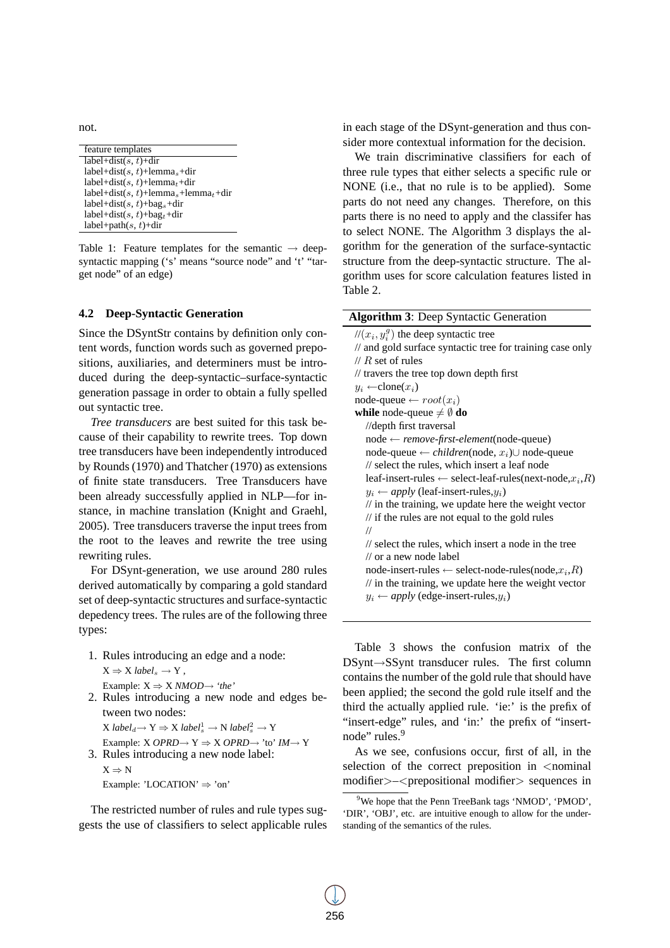not.

| label+dist(s, t)+lemma <sub>s</sub> +lemma <sub>t</sub> +dir |
|--------------------------------------------------------------|
|                                                              |
|                                                              |
|                                                              |
|                                                              |

Table 1: Feature templates for the semantic  $\rightarrow$  deepsyntactic mapping ('s' means "source node" and 't' "target node" of an edge)

### **4.2 Deep-Syntactic Generation**

Since the DSyntStr contains by definition only content words, function words such as governed prepositions, auxiliaries, and determiners must be introduced during the deep-syntactic–surface-syntactic generation passage in order to obtain a fully spelled out syntactic tree.

*Tree transducers* are best suited for this task because of their capability to rewrite trees. Top down tree transducers have been independently introduced by Rounds (1970) and Thatcher (1970) as extensions of finite state transducers. Tree Transducers have been already successfully applied in NLP—for instance, in machine translation (Knight and Graehl, 2005). Tree transducers traverse the input trees from the root to the leaves and rewrite the tree using rewriting rules.

For DSynt-generation, we use around 280 rules derived automatically by comparing a gold standard set of deep-syntactic structures and surface-syntactic depedency trees. The rules are of the following three types:

1. Rules introducing an edge and a node:

 $X \Rightarrow X$  *label<sub>s</sub>*  $\rightarrow Y$ ,

Example:  $X \Rightarrow X \text{ } NMOD \rightarrow 'the'$ 

2. Rules introducing a new node and edges between two nodes:

 $X$  *label*<sub>d</sub> $\rightarrow$  Y  $\Rightarrow$  X *label*<sub>s</sub><sup>1</sup> $\rightarrow$  N *label*<sub>s</sub><sup>2</sup> $\rightarrow$  Y Example:  $X \text{ } OPRD \rightarrow Y \Rightarrow X \text{ } OPRD \rightarrow 'to' \text{ } IM \rightarrow Y$ 

3. Rules introducing a new node label:  $X \Rightarrow N$ 

Example: 'LOCATION'  $\Rightarrow$  'on'

The restricted number of rules and rule types suggests the use of classifiers to select applicable rules in each stage of the DSynt-generation and thus consider more contextual information for the decision.

We train discriminative classifiers for each of three rule types that either selects a specific rule or NONE (i.e., that no rule is to be applied). Some parts do not need any changes. Therefore, on this parts there is no need to apply and the classifer has to select NONE. The Algorithm 3 displays the algorithm for the generation of the surface-syntactic structure from the deep-syntactic structure. The algorithm uses for score calculation features listed in Table 2.

| <b>Algorithm 3:</b> Deep Syntactic Generation                                              |  |  |
|--------------------------------------------------------------------------------------------|--|--|
| $\mathcal{U}(x_i, y_i^g)$ the deep syntactic tree                                          |  |  |
| // and gold surface syntactic tree for training case only                                  |  |  |
| $\#$ R set of rules                                                                        |  |  |
| $\frac{1}{\pi}$ travers the tree top down depth first                                      |  |  |
| $y_i \leftarrow \text{clone}(x_i)$                                                         |  |  |
| node-queue $\leftarrow root(x_i)$                                                          |  |  |
| while node-queue $\neq \emptyset$ do                                                       |  |  |
| //depth first traversal                                                                    |  |  |
| $node \leftarrow remove-first-element(node-queue)$                                         |  |  |
| node-queue ← <i>children</i> (node, $x_i$ ) $\cup$ node-queue                              |  |  |
| // select the rules, which insert a leaf node                                              |  |  |
| leaf-insert-rules $\leftarrow$ select-leaf-rules(next-node, $x_i, R$ )                     |  |  |
| $y_i \leftarrow apply$ (leaf-insert-rules, $y_i$ )                                         |  |  |
| $\frac{1}{\pi}$ in the training, we update here the weight vector                          |  |  |
| $\frac{1}{1}$ if the rules are not equal to the gold rules                                 |  |  |
| $^{\prime\prime}$                                                                          |  |  |
| // select the rules, which insert a node in the tree                                       |  |  |
| // or a new node label                                                                     |  |  |
| $node\text{-}insert\text{-}rules \leftarrow select\text{-}node\text{-}rules(node, x_i, R)$ |  |  |
| $\frac{1}{\pi}$ in the training, we update here the weight vector                          |  |  |
| $y_i \leftarrow apply$ (edge-insert-rules, $y_i$ )                                         |  |  |
|                                                                                            |  |  |

Table 3 shows the confusion matrix of the DSynt→SSynt transducer rules. The first column contains the number of the gold rule that should have been applied; the second the gold rule itself and the third the actually applied rule. 'ie:' is the prefix of "insert-edge" rules, and 'in:' the prefix of "insertnode" rules.<sup>9</sup>

As we see, confusions occur, first of all, in the selection of the correct preposition in  $\le$  nominal modifier>-<prepositional modifier> sequences in

<sup>&</sup>lt;sup>9</sup>We hope that the Penn TreeBank tags 'NMOD', 'PMOD', 'DIR', 'OBJ', etc. are intuitive enough to allow for the understanding of the semantics of the rules.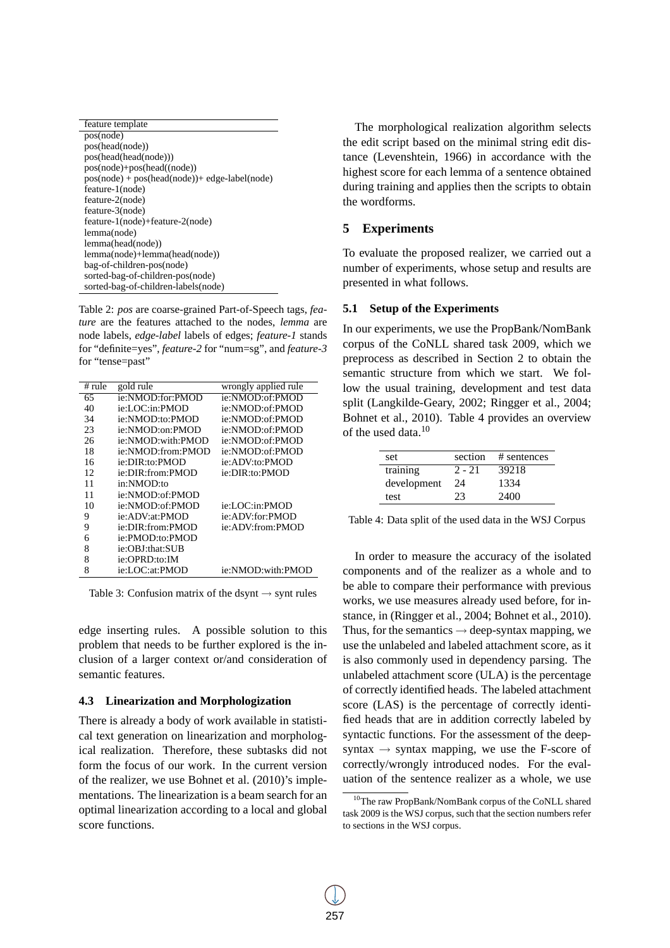| feature template                                 |
|--------------------------------------------------|
| pos(node)                                        |
| pos(head(node))                                  |
| pos(head(head(node)))                            |
| $pos(node) + pos(head((node))$                   |
| $pos(node) + pos(head(node)) + edge-label(node)$ |
| feature-1(node)                                  |
| feature-2(node)                                  |
| feature-3(node)                                  |
| feature-1(node)+feature-2(node)                  |
| lemma(node)                                      |
| lemma(head(node))                                |
| lemma(node)+lemma(head(node))                    |
| bag-of-children-pos(node)                        |
| sorted-bag-of-children-pos(node)                 |
| sorted-bag-of-children-labels(node)              |
|                                                  |

Table 2: *pos* are coarse-grained Part-of-Speech tags, *feature* are the features attached to the nodes, *lemma* are node labels, *edge-label* labels of edges; *feature-1* stands for "definite=yes", *feature-2* for "num=sg", and *feature-3* for "tense=past"

| # rule | gold rule         | wrongly applied rule |
|--------|-------------------|----------------------|
| 65     | ie:NMOD:for:PMOD  | ie:NMOD:of:PMOD      |
| 40     | ie:LOC:in:PMOD    | ie:NMOD:of:PMOD      |
| 34     | ie:NMOD:to:PMOD   | ie:NMOD:of:PMOD      |
| 23     | ie:NMOD:on:PMOD   | ie:NMOD:of:PMOD      |
| 26     | ie:NMOD:with:PMOD | ie:NMOD:of:PMOD      |
| 18     | ie:NMOD:from:PMOD | ie:NMOD:of:PMOD      |
| 16     | ie:DIR:to:PMOD    | ie:ADV:to:PMOD       |
| 12     | ie:DIR:from:PMOD  | ie:DIR:to:PMOD       |
| 11     | in:NMOD:to        |                      |
| 11     | ie:NMOD:of:PMOD   |                      |
| 10     | ie:NMOD:of:PMOD   | ie:LOC:in:PMOD       |
| 9      | ie:ADV:at:PMOD    | ie:ADV:for:PMOD      |
| 9      | ie:DIR:from:PMOD  | ie:ADV:from:PMOD     |
| 6      | ie:PMOD:to:PMOD   |                      |
| 8      | ie:OBJ:that:SUB   |                      |
| 8      | ie:OPRD:to:IM     |                      |
| 8      | ie:LOC:at:PMOD    | ie:NMOD:with:PMOD    |

Table 3: Confusion matrix of the dsynt  $\rightarrow$  synt rules

edge inserting rules. A possible solution to this problem that needs to be further explored is the inclusion of a larger context or/and consideration of semantic features.

#### **4.3 Linearization and Morphologization**

There is already a body of work available in statistical text generation on linearization and morphological realization. Therefore, these subtasks did not form the focus of our work. In the current version of the realizer, we use Bohnet et al. (2010)'s implementations. The linearization is a beam search for an optimal linearization according to a local and global score functions.

The morphological realization algorithm selects the edit script based on the minimal string edit distance (Levenshtein, 1966) in accordance with the highest score for each lemma of a sentence obtained during training and applies then the scripts to obtain the wordforms.

### **5 Experiments**

To evaluate the proposed realizer, we carried out a number of experiments, whose setup and results are presented in what follows.

#### **5.1 Setup of the Experiments**

In our experiments, we use the PropBank/NomBank corpus of the CoNLL shared task 2009, which we preprocess as described in Section 2 to obtain the semantic structure from which we start. We follow the usual training, development and test data split (Langkilde-Geary, 2002; Ringger et al., 2004; Bohnet et al., 2010). Table 4 provides an overview of the used data.<sup>10</sup>

| set         | section  | # sentences |
|-------------|----------|-------------|
| training    | $2 - 21$ | 39218       |
| development | 24       | 1334        |
| test        | 23       | 2400        |

Table 4: Data split of the used data in the WSJ Corpus

In order to measure the accuracy of the isolated components and of the realizer as a whole and to be able to compare their performance with previous works, we use measures already used before, for instance, in (Ringger et al., 2004; Bohnet et al., 2010). Thus, for the semantics  $\rightarrow$  deep-syntax mapping, we use the unlabeled and labeled attachment score, as it is also commonly used in dependency parsing. The unlabeled attachment score (ULA) is the percentage of correctly identified heads. The labeled attachment score (LAS) is the percentage of correctly identified heads that are in addition correctly labeled by syntactic functions. For the assessment of the deepsyntax  $\rightarrow$  syntax mapping, we use the F-score of correctly/wrongly introduced nodes. For the evaluation of the sentence realizer as a whole, we use

<sup>10</sup>The raw PropBank/NomBank corpus of the CoNLL shared task 2009 is the WSJ corpus, such that the section numbers refer to sections in the WSJ corpus.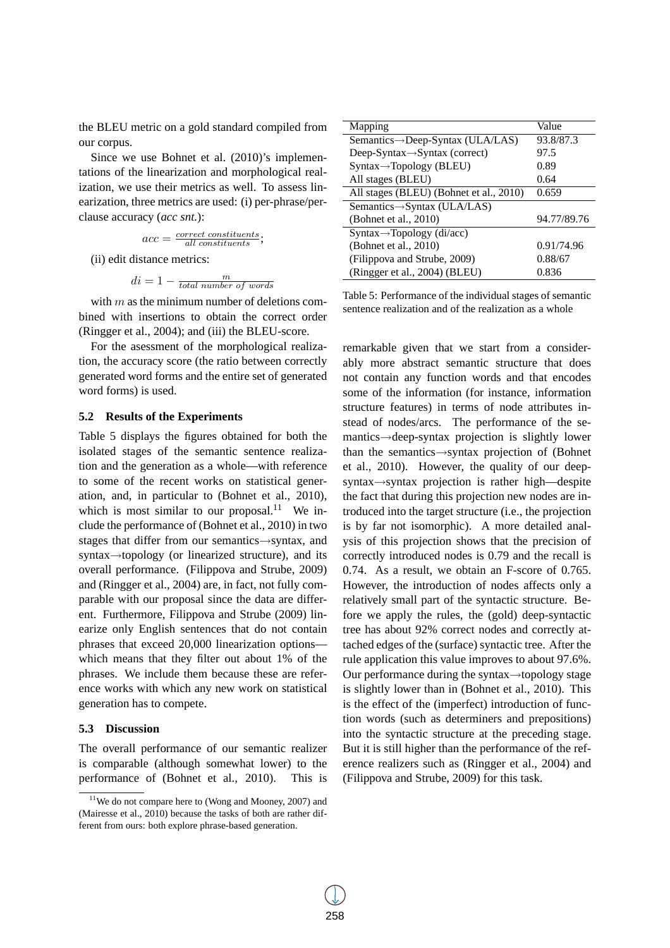the BLEU metric on a gold standard compiled from our corpus.

Since we use Bohnet et al. (2010)'s implementations of the linearization and morphological realization, we use their metrics as well. To assess linearization, three metrics are used: (i) per-phrase/perclause accuracy (*acc snt.*):

$$
acc = \frac{correct\;constituents}{all\;constituents};
$$

(ii) edit distance metrics:

 $di = 1 - \frac{m}{total\ number\ of\ words}$ 

with  $m$  as the minimum number of deletions combined with insertions to obtain the correct order (Ringger et al., 2004); and (iii) the BLEU-score.

For the asessment of the morphological realization, the accuracy score (the ratio between correctly generated word forms and the entire set of generated word forms) is used.

#### **5.2 Results of the Experiments**

Table 5 displays the figures obtained for both the isolated stages of the semantic sentence realization and the generation as a whole—with reference to some of the recent works on statistical generation, and, in particular to (Bohnet et al., 2010), which is most similar to our proposal.<sup>11</sup> We include the performance of (Bohnet et al., 2010) in two stages that differ from our semantics→syntax, and syntax→topology (or linearized structure), and its overall performance. (Filippova and Strube, 2009) and (Ringger et al., 2004) are, in fact, not fully comparable with our proposal since the data are different. Furthermore, Filippova and Strube (2009) linearize only English sentences that do not contain phrases that exceed 20,000 linearization options which means that they filter out about 1% of the phrases. We include them because these are reference works with which any new work on statistical generation has to compete.

#### **5.3 Discussion**

The overall performance of our semantic realizer is comparable (although somewhat lower) to the performance of (Bohnet et al., 2010). This is

| Mapping                                       | Value       |
|-----------------------------------------------|-------------|
| $Semantics \rightarrow Deep-Syntax (ULA/LAS)$ | 93.8/87.3   |
| Deep-Syntax→Syntax (correct)                  | 97.5        |
| Syntax→Topology (BLEU)                        | 0.89        |
| All stages (BLEU)                             | 0.64        |
| All stages (BLEU) (Bohnet et al., 2010)       | 0.659       |
| Semantics→Syntax (ULA/LAS)                    |             |
| (Bohnet et al., 2010)                         | 94.77/89.76 |
| $Syn tax \rightarrow Topology$ (di/acc)       |             |
| (Bohnet et al., 2010)                         | 0.91/74.96  |
| (Filippova and Strube, 2009)                  | 0.88/67     |
| (Ringger et al., 2004) (BLEU)                 | 0.836       |

Table 5: Performance of the individual stages of semantic sentence realization and of the realization as a whole

remarkable given that we start from a considerably more abstract semantic structure that does not contain any function words and that encodes some of the information (for instance, information structure features) in terms of node attributes instead of nodes/arcs. The performance of the semantics→deep-syntax projection is slightly lower than the semantics→syntax projection of (Bohnet et al., 2010). However, the quality of our deepsyntax→syntax projection is rather high—despite the fact that during this projection new nodes are introduced into the target structure (i.e., the projection is by far not isomorphic). A more detailed analysis of this projection shows that the precision of correctly introduced nodes is 0.79 and the recall is 0.74. As a result, we obtain an F-score of 0.765. However, the introduction of nodes affects only a relatively small part of the syntactic structure. Before we apply the rules, the (gold) deep-syntactic tree has about 92% correct nodes and correctly attached edges of the (surface) syntactic tree. After the rule application this value improves to about 97.6%. Our performance during the syntax→topology stage is slightly lower than in (Bohnet et al., 2010). This is the effect of the (imperfect) introduction of function words (such as determiners and prepositions) into the syntactic structure at the preceding stage. But it is still higher than the performance of the reference realizers such as (Ringger et al., 2004) and (Filippova and Strube, 2009) for this task.

<sup>11</sup>We do not compare here to (Wong and Mooney, 2007) and (Mairesse et al., 2010) because the tasks of both are rather different from ours: both explore phrase-based generation.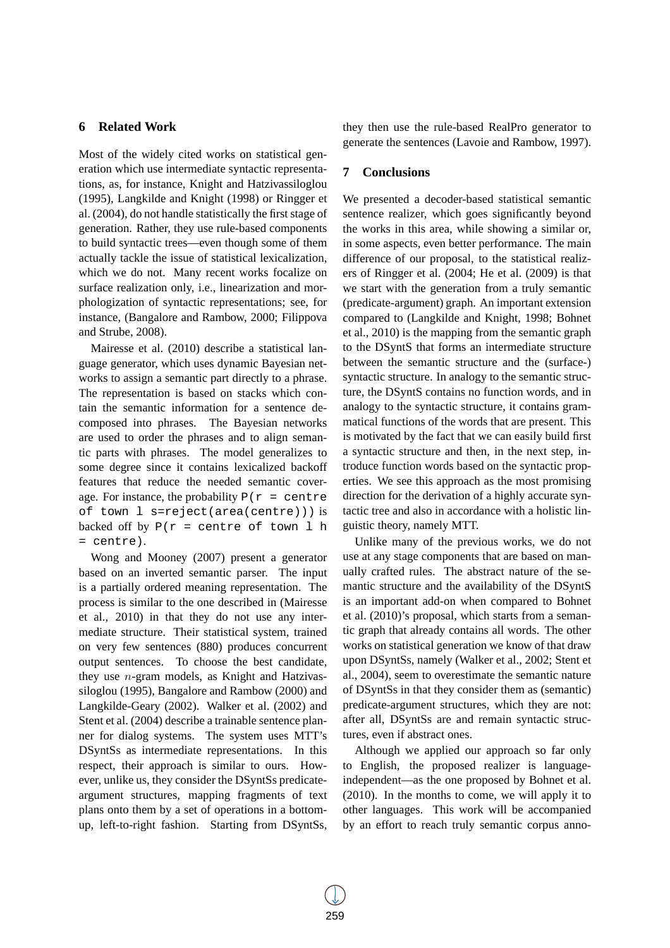## **6 Related Work**

Most of the widely cited works on statistical generation which use intermediate syntactic representations, as, for instance, Knight and Hatzivassiloglou (1995), Langkilde and Knight (1998) or Ringger et al. (2004), do not handle statistically the first stage of generation. Rather, they use rule-based components to build syntactic trees—even though some of them actually tackle the issue of statistical lexicalization, which we do not. Many recent works focalize on surface realization only, i.e., linearization and morphologization of syntactic representations; see, for instance, (Bangalore and Rambow, 2000; Filippova and Strube, 2008).

Mairesse et al. (2010) describe a statistical language generator, which uses dynamic Bayesian networks to assign a semantic part directly to a phrase. The representation is based on stacks which contain the semantic information for a sentence decomposed into phrases. The Bayesian networks are used to order the phrases and to align semantic parts with phrases. The model generalizes to some degree since it contains lexicalized backoff features that reduce the needed semantic coverage. For instance, the probability  $P(r = centre$ of town l s=reject(area(centre))) is backed off by  $P(r =$  centre of town 1 h = centre).

Wong and Mooney (2007) present a generator based on an inverted semantic parser. The input is a partially ordered meaning representation. The process is similar to the one described in (Mairesse et al., 2010) in that they do not use any intermediate structure. Their statistical system, trained on very few sentences (880) produces concurrent output sentences. To choose the best candidate, they use n-gram models, as Knight and Hatzivassiloglou (1995), Bangalore and Rambow (2000) and Langkilde-Geary (2002). Walker et al. (2002) and Stent et al. (2004) describe a trainable sentence planner for dialog systems. The system uses MTT's DSyntSs as intermediate representations. In this respect, their approach is similar to ours. However, unlike us, they consider the DSyntSs predicateargument structures, mapping fragments of text plans onto them by a set of operations in a bottomup, left-to-right fashion. Starting from DSyntSs, they then use the rule-based RealPro generator to generate the sentences (Lavoie and Rambow, 1997).

### **7 Conclusions**

We presented a decoder-based statistical semantic sentence realizer, which goes significantly beyond the works in this area, while showing a similar or, in some aspects, even better performance. The main difference of our proposal, to the statistical realizers of Ringger et al. (2004; He et al. (2009) is that we start with the generation from a truly semantic (predicate-argument) graph. An important extension compared to (Langkilde and Knight, 1998; Bohnet et al., 2010) is the mapping from the semantic graph to the DSyntS that forms an intermediate structure between the semantic structure and the (surface-) syntactic structure. In analogy to the semantic structure, the DSyntS contains no function words, and in analogy to the syntactic structure, it contains grammatical functions of the words that are present. This is motivated by the fact that we can easily build first a syntactic structure and then, in the next step, introduce function words based on the syntactic properties. We see this approach as the most promising direction for the derivation of a highly accurate syntactic tree and also in accordance with a holistic linguistic theory, namely MTT.

Unlike many of the previous works, we do not use at any stage components that are based on manually crafted rules. The abstract nature of the semantic structure and the availability of the DSyntS is an important add-on when compared to Bohnet et al. (2010)'s proposal, which starts from a semantic graph that already contains all words. The other works on statistical generation we know of that draw upon DSyntSs, namely (Walker et al., 2002; Stent et al., 2004), seem to overestimate the semantic nature of DSyntSs in that they consider them as (semantic) predicate-argument structures, which they are not: after all, DSyntSs are and remain syntactic structures, even if abstract ones.

Although we applied our approach so far only to English, the proposed realizer is languageindependent—as the one proposed by Bohnet et al. (2010). In the months to come, we will apply it to other languages. This work will be accompanied by an effort to reach truly semantic corpus anno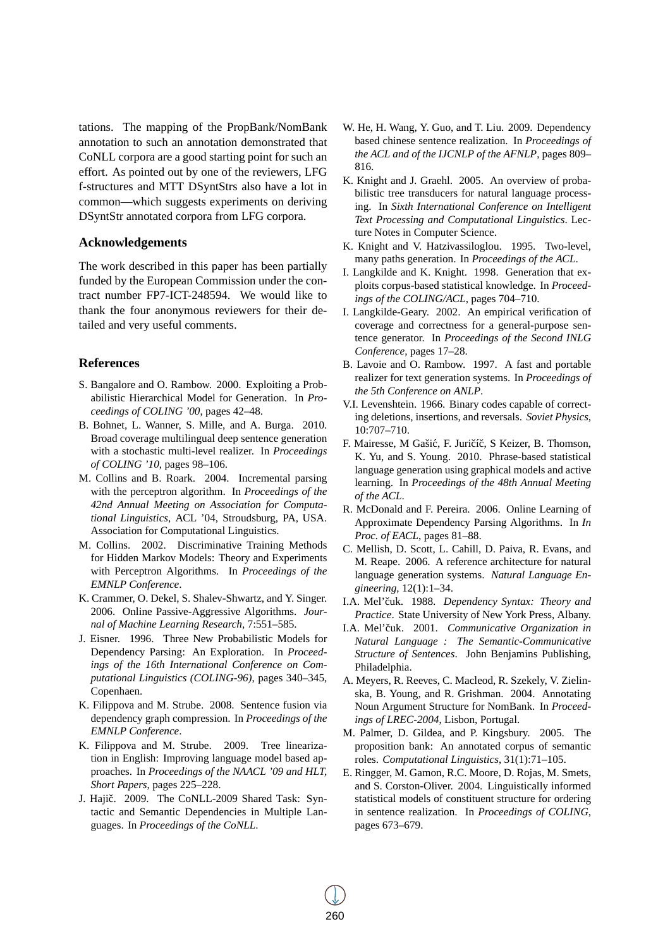tations. The mapping of the PropBank/NomBank annotation to such an annotation demonstrated that CoNLL corpora are a good starting point for such an effort. As pointed out by one of the reviewers, LFG f-structures and MTT DSyntStrs also have a lot in common—which suggests experiments on deriving DSyntStr annotated corpora from LFG corpora.

#### **Acknowledgements**

The work described in this paper has been partially funded by the European Commission under the contract number FP7-ICT-248594. We would like to thank the four anonymous reviewers for their detailed and very useful comments.

#### **References**

- S. Bangalore and O. Rambow. 2000. Exploiting a Probabilistic Hierarchical Model for Generation. In *Proceedings of COLING '00*, pages 42–48.
- B. Bohnet, L. Wanner, S. Mille, and A. Burga. 2010. Broad coverage multilingual deep sentence generation with a stochastic multi-level realizer. In *Proceedings of COLING '10*, pages 98–106.
- M. Collins and B. Roark. 2004. Incremental parsing with the perceptron algorithm. In *Proceedings of the 42nd Annual Meeting on Association for Computational Linguistics*, ACL '04, Stroudsburg, PA, USA. Association for Computational Linguistics.
- M. Collins. 2002. Discriminative Training Methods for Hidden Markov Models: Theory and Experiments with Perceptron Algorithms. In *Proceedings of the EMNLP Conference*.
- K. Crammer, O. Dekel, S. Shalev-Shwartz, and Y. Singer. 2006. Online Passive-Aggressive Algorithms. *Journal of Machine Learning Research*, 7:551–585.
- J. Eisner. 1996. Three New Probabilistic Models for Dependency Parsing: An Exploration. In *Proceedings of the 16th International Conference on Computational Linguistics (COLING-96)*, pages 340–345, Copenhaen.
- K. Filippova and M. Strube. 2008. Sentence fusion via dependency graph compression. In *Proceedings of the EMNLP Conference*.
- K. Filippova and M. Strube. 2009. Tree linearization in English: Improving language model based approaches. In *Proceedings of the NAACL '09 and HLT, Short Papers*, pages 225–228.
- J. Hajič. 2009. The CoNLL-2009 Shared Task: Syntactic and Semantic Dependencies in Multiple Languages. In *Proceedings of the CoNLL*.
- W. He, H. Wang, Y. Guo, and T. Liu. 2009. Dependency based chinese sentence realization. In *Proceedings of the ACL and of the IJCNLP of the AFNLP*, pages 809– 816.
- K. Knight and J. Graehl. 2005. An overview of probabilistic tree transducers for natural language processing. In *Sixth International Conference on Intelligent Text Processing and Computational Linguistics*. Lecture Notes in Computer Science.
- K. Knight and V. Hatzivassiloglou. 1995. Two-level, many paths generation. In *Proceedings of the ACL*.
- I. Langkilde and K. Knight. 1998. Generation that exploits corpus-based statistical knowledge. In *Proceedings of the COLING/ACL*, pages 704–710.
- I. Langkilde-Geary. 2002. An empirical verification of coverage and correctness for a general-purpose sentence generator. In *Proceedings of the Second INLG Conference*, pages 17–28.
- B. Lavoie and O. Rambow. 1997. A fast and portable realizer for text generation systems. In *Proceedings of the 5th Conference on ANLP*.
- V.I. Levenshtein. 1966. Binary codes capable of correcting deletions, insertions, and reversals. *Soviet Physics*, 10:707–710.
- F. Mairesse, M Gašić, F. Juričíč, S Keizer, B. Thomson, K. Yu, and S. Young. 2010. Phrase-based statistical language generation using graphical models and active learning. In *Proceedings of the 48th Annual Meeting of the ACL*.
- R. McDonald and F. Pereira. 2006. Online Learning of Approximate Dependency Parsing Algorithms. In *In Proc. of EACL*, pages 81–88.
- C. Mellish, D. Scott, L. Cahill, D. Paiva, R. Evans, and M. Reape. 2006. A reference architecture for natural language generation systems. *Natural Language Engineering*, 12(1):1–34.
- I.A. Mel'čuk. 1988. Dependency Syntax: Theory and *Practice*. State University of New York Press, Albany.
- I.A. Mel'čuk. 2001. Communicative Organization in *Natural Language : The Semantic-Communicative Structure of Sentences*. John Benjamins Publishing, Philadelphia.
- A. Meyers, R. Reeves, C. Macleod, R. Szekely, V. Zielinska, B. Young, and R. Grishman. 2004. Annotating Noun Argument Structure for NomBank. In *Proceedings of LREC-2004*, Lisbon, Portugal.
- M. Palmer, D. Gildea, and P. Kingsbury. 2005. The proposition bank: An annotated corpus of semantic roles. *Computational Linguistics*, 31(1):71–105.
- E. Ringger, M. Gamon, R.C. Moore, D. Rojas, M. Smets, and S. Corston-Oliver. 2004. Linguistically informed statistical models of constituent structure for ordering in sentence realization. In *Proceedings of COLING*, pages 673–679.